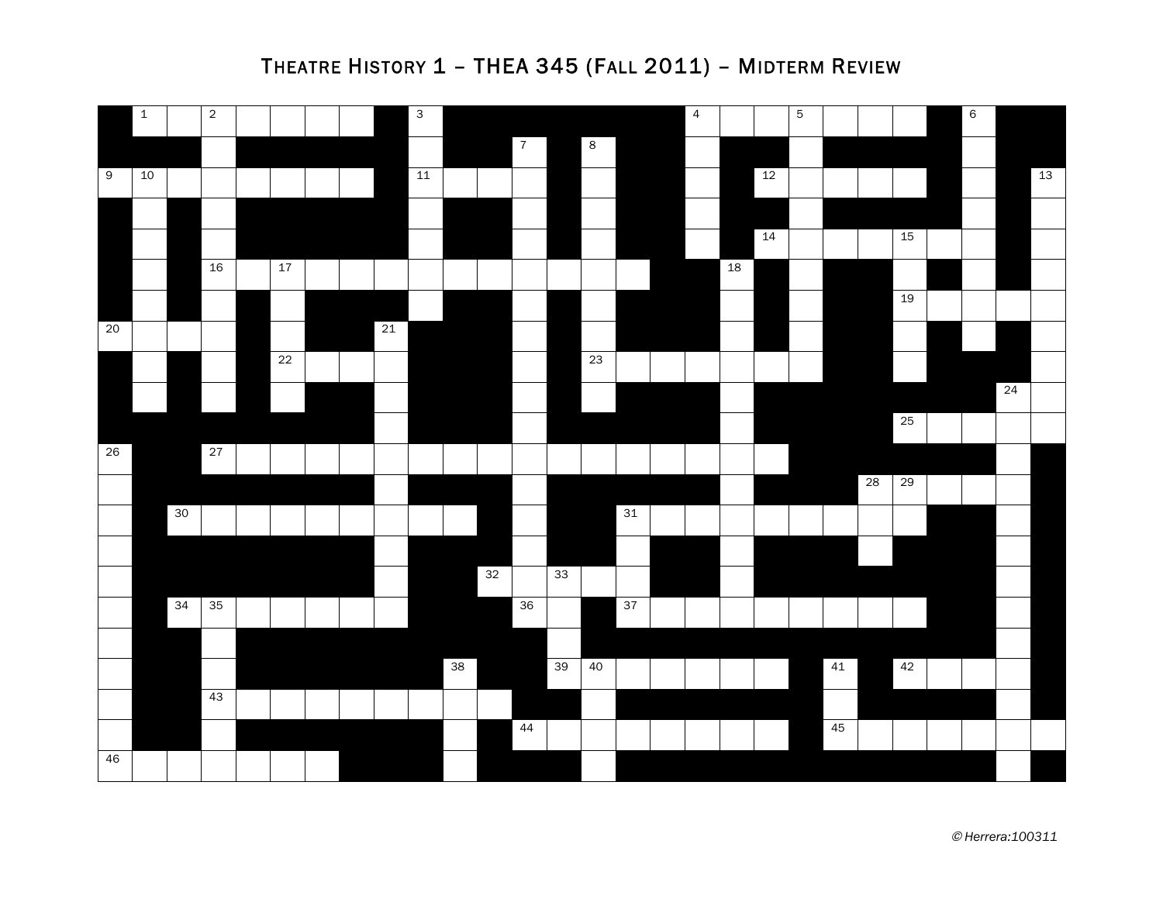

## THEATRE HISTORY 1 – THEA 345 (FALL 2011) – MIDTERM REVIEW